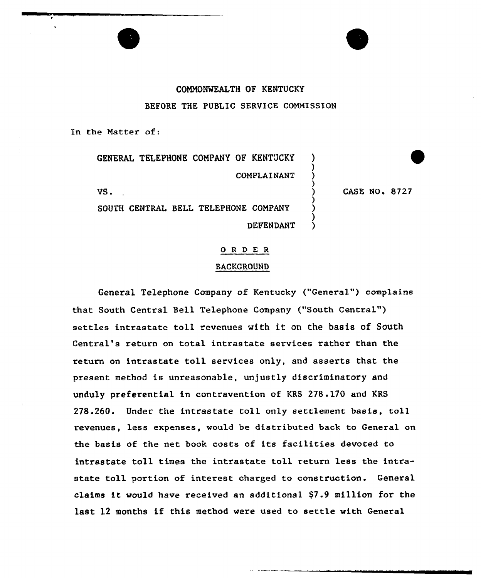# COMM0%KALTH OF KENTUCKY BEFORE THE PUBLIC SERUICE COMMISSION

In the Matter of:

GENERAL TELEPHONE COMPANY OF KENTUCKY COMPLAINANT

 $\mathsf{US}_\bullet$  ) and  $\mathsf{US}_\bullet$  (

SOUTH CENTRAL BELL TELEPHONE COMPANY **DEFENDANT**  CASE NO <sup>~</sup> 8727

)

)

)

)

### 0 <sup>R</sup> <sup>D</sup> E R

### BACKGROUND

General Telephone Company of Kentucky ("General") complains that South Central Bell Telephone Company ("South Central") settles intrastate toll revenues with it on the basis of South Central's return on total intrastate services rather than the return on intrastate toll services only, and asserts that the present method is unreasonable, unjustly discriminatory and unduly preferential in contravention of KRS 278 .170 and KRS 278.260. Under the intrastate toll only settlement basis, toll revenues, less expenses, would be distributed back to General on the basis of the net. book costs of its facilities devoted to intrastate toll times the intrastate toll return less the intrastate toll portion of interest charged to construction. General claims it would have received an additional \$7.9 million for the last <sup>12</sup> months if this method were used to settle with General

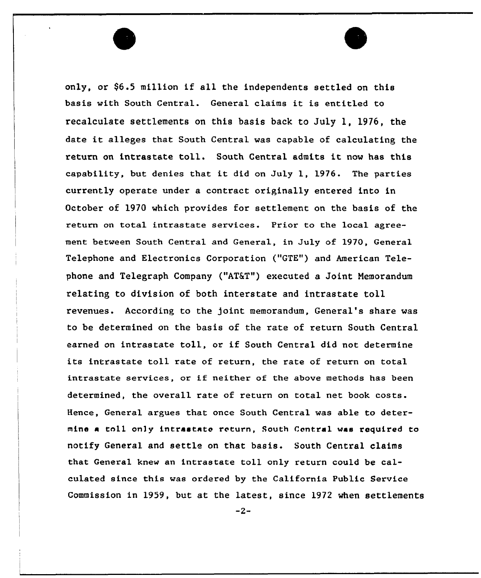only, or \$6.5 million if all the independents settled on this basis with South Central. General claims it is entitled to recalculate settlements on this basis back to July l, 1976, the date it alleges that South Central was capable of calculating the return on intrastate toll. South Central admits it now has this capability, but denies that it did on July 1, 1976. The parties currently operate under a contract originally entered into in October of 1970 which provides for settlement on the basis of the return on total intrastate services. Prior to the local agreement between South Central and General, in July of 1970, General Telephone and Electronics Corporation ("GTE") and American Telephone and Telegraph Company ("AT&T") executed a Joint Memorandum relating to division of both interstate and intrastate toll revenues. According to the joint memorandum, General's share was to be determined on the basis of the rate of return South Central earned on intrastate toll, or if South Central did not determine its intrastate toll rate of return, the rate of return on total intrastate services, or if neither of the above methods has been determined, the overall rate of return on total net book costs. Hence, General argues that once South Central was able to determine a toll only intrastate return, South Central was required to notify General and settle on that basis. South Central claims that General knew an intrastate toll only return could be calculated since this was ordered by the California Public Service Commission in 1959, but at the latest, since 1972 when settlements

 $-2-$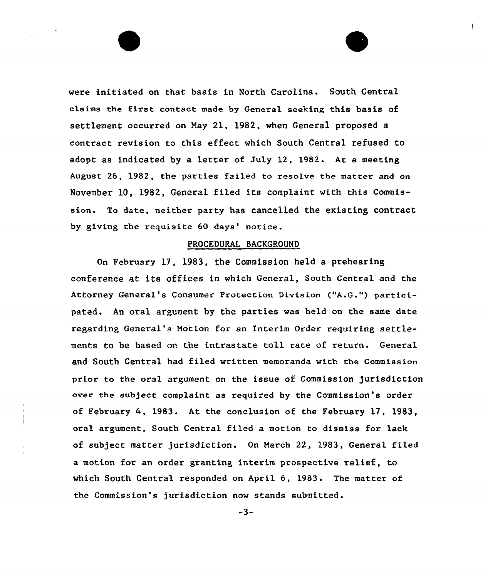were initiated on that basis in North Carolina. South Central claims the first contact made by General seeking this basis of settlement occurred on May 21, 1982, when General proposed a contract revision to this effect which South Central refused to adopt as indicated by a letter of July 12, 1982. At a meeting August 26, 1982, the parties failed to resolve the matter and on November 10, 1982, General filed its complaint with this Commission. To date, neither party has cancelled the existing contract, by giving the requisite 60 days' notice.

## PROCEDURAL BACKGROUND

On February 17, 1983, the Commission held a prehearing conference at its offices in which General, South Central and the Attorney General's Consumer Protection Division ("A.Q.") partici. pated. An oral argument by the parties was held on the same date regarding General's Notion for an Interim Order requiring settlements to be based on the intrastate toll rate of return. General and South Central had filed written memoranda with the Commission prior to the oral argument on the issue of Commission jurisdiction over the subject complaint as required by the Commission's order of February 4, 1983. At the conclusion of the February 17, 1983, oral argument, South Central filed a motion to dismiss for lack of subject matter jurisdiction. On March 22, 1983, General filed a motion for an order granting interim prospective relief, to which South Central responded on April 6, 1983. The matter of the Commission's jurisdiction now stands submitted.

-3-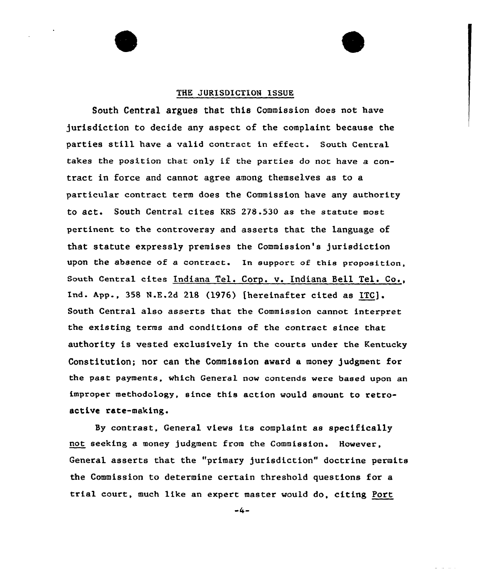### THE JURISDICTION ISSUE

South Central argues that this Commission does not have jurisdiction to decide any aspect of the complaint because the parties still have <sup>a</sup> valid contract in effect. South Central takes the position that only if the parties do not have <sup>a</sup> contract in force and cannot agree among themselves as to a particular contract term does the Commission have any authority to act. South Central cites KRS 278.530 as the statute most pertinent to the controversy and asserts that the Language of that statute expressly premises the Commission's jurisdiction upon the absence of a contract. In support of this proposition, South Central cites Indiana Tel. Corp. v. Indiana Bell Tel. Co., Ind. App., 358 N.E.2d 218 (1976) [hereinafter cited as ITC]. South Central also asserts that the Commission cannot interpret the existing terms and conditions of the contract since that authority is vested exclusively in the courts under the Kentucky Constitution; nor can the Commission award a money judgment for the past payments, which General now contends were based upon an improper methodology, since this action would amount to retroactive rate-making.

By contrast, General views its complaint as specifically not seeking a money judgment from the Commission. However, General asserts that the "primary jurisdiction" doctrine permits the Commission to determine certain threshold questions for a trial court, much like an expert master would do, citing Port

 $-4-$ 

 $\Delta \sim 10^{-1}$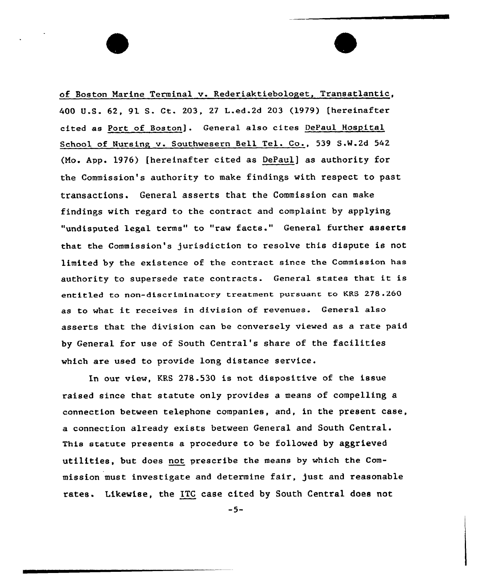of Boston Marine Terminal v. Rederiaktiebologet, Transatlantic, 400 U.S. 62, 91 S. Ct. 203, 27 L.ed.2d 203 (1979) [hereinafter cited as Port of Boston] . General also cites DePaul Hospital School of Nursing v. Southwesern Bell Tel. Co., 539 S.W.2d 542 (Ho. App. 1976) [hereinafter cited as Depaul] as authority for the Commission's authority to make findings with respect to past transactions. General asserts that the Commission can make findings with regard to the contract and complaint by applying "undisputed legal terms" to "raw facts." General further asserts that the Commission's jurisdiction to resolve this dispute is not limited by the existence of the contract since the Commission has authority to supersede rate contracts. General states that it is entitled to non-discriminatory treatment pursuant to KRS 278.260 as to what it receives in division of revenues. General also asserts that the division can be conversely viewed as a rate paid by General for use of South Central's share of the facilities which are used to provide long distance service.

In our view, KRS 278.530 is not dispositive of the issue raised since that statute only provides a means of compelling a connection between telephone companies, and, in the present case, a connection already exists between General and South Central. This statute presents a procedure to be followed by aggrieved utilities, but does not prescribe the means by which the Commission must investigate and determine fair, just and reasonable rates. Likewise, the ITC case cited by South Central does not

 $-5-$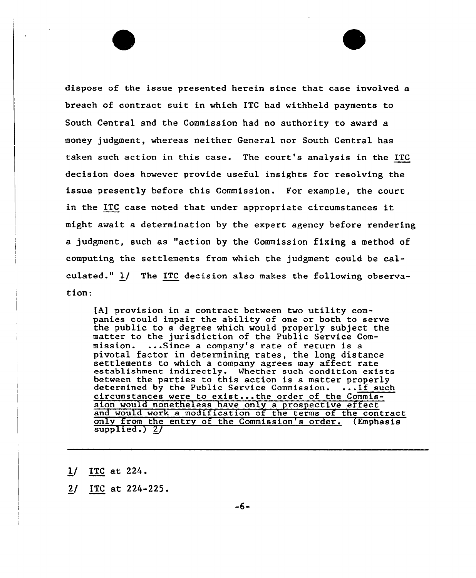dispose of the issue presented herein since that case involved a breach of contract suit in which ITC had withheld payments to South Central and the Commission had no authority to award a money judgment, whereas neither General nor South Central has taken such action in this case. The court's analysis in the ITC decision does however provide useful insights for resolving the issue presently before this Commission. For example, the court in the ITC case noted that under appropriate circumstances it might await a determination by the expert agency before rendering a judgment, such as "action by the Commission fixing a method of computing the settlements from which the judgment could be calculated." 1/ The ITC decision also makes the following observation:

[A] provision in a contract between two utility companies could impair the ability of one or both to serve the public to a degree which would properly subject the matter to the jurisdiction of the Public Service Commission. ...Since a company's rate of return is a pivotal factor in determining rates, the long distance settlements to which a company agrees may affect rate establishment indirectly. Whether such condition exists between the parties to this action is a matter properly determined by the Public Service Commission. ... If such circumstances were to exist...the order of the Commission would nonetheless have only a prospective effect and would work a modification of the terms of the contrac only from the entry of the Commission's order. (Emphasis supplied.} 2/

1/ ITC at 224.

2/ ITC at 224-225.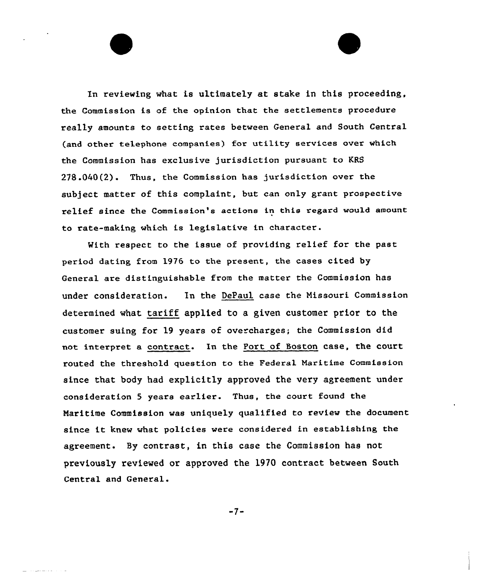In reviewing what is ultimately at stake in this proceeding, the Commission is of the opinion that the settlements procedure really amounts to setting rates between General and South Central (and other telephone companies) for utility services over which the Commission has exclusive jurisdiction puxsuant to KRS 278 .040(2). Thus, the Commission has jurisdiction over the subject matter of this complaint, but can only grant prospective relief since the Commission's actions in this regard would amount to rate-making which is legislative in character.

Mith respect to the issue of providing relief for the past period dating from 1976 to the present, the cases cited by General are distinguishable from the matter the Commission has under consideration. In the DePaul case the Missouri Commission determined what tariff applied to a given customer prior to the customer suing for 19 years of overcharges; the Commission did not interpret a contract. In the Port of Boston case, the court routed the threshold question to the Federal Maritime Commission since that body had explicitly approved the very agreement under consideration <sup>5</sup> years earlier. Thus, the court found the Maritime Commission was uniquely qualified to review the document since it knew what policies were considered in establishing the agreement. By contrast, in this case the Commission has not previously reviewed or approved the 1970 contract between South Central and General.

 $-7-$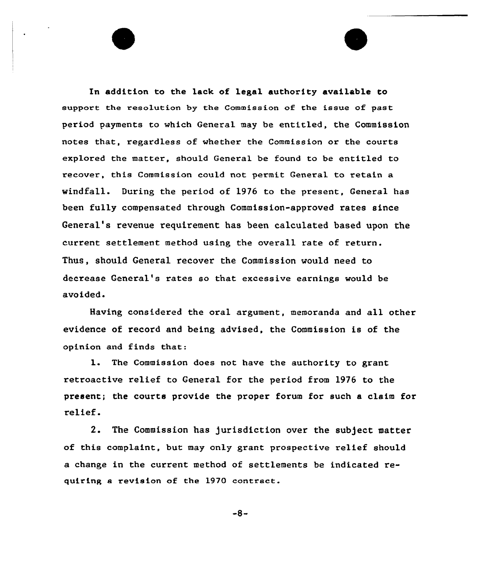In addition to the lack of legal authority available to support the resolution by the Commission of the issue of past period payments to which General may be entitled, the Commission notes that, regardless of whether the Commission or the courts explored the matter, should General be found to be entitled to recover, this Commission could not permit General to retain a windfall. During the period of 1976 to the present, General has been fully compensated through Commission-approved rates since General's revenue requirement has been calculated based upon the current settlement method using the overall rate of return. Thus, should General recover the Commission would need to decrease General's rates so that excessive earnings would be avoided.

Having considered the oral argument, memoranda and all other evidence of record and being advised, the Commission is of the opinion and finds that:

1. The Commission does not have the authority to grant retroactive relief to General for the period from 1976 to the present; the courts provide the proper forum for such a claim for relief.

2. The Commission has jurisdiction over the subject matter of this complaint, but may only grant prospective relief should a change in the current method of settlements be indicated requiring a revision of the 1970 contract.

 $-8-$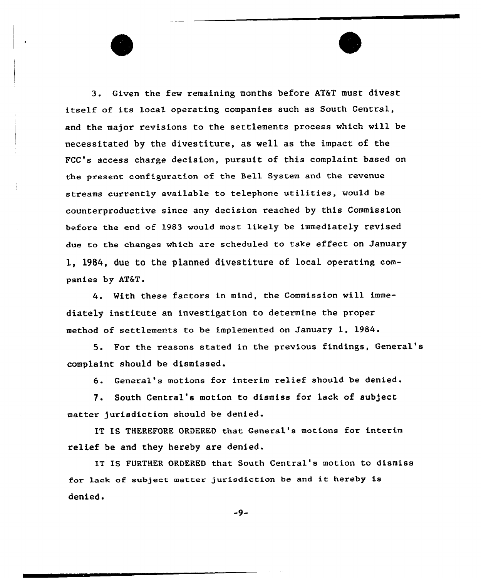3. Given the few remaining months before AT&T must divest itself of its local operating companies such as South Central, and the major revisions to the settlements process which will be necessitated by the divestiture, as well as the impact of the FCC's access charge decision, pursuit of this complaint based on the present configuration of the Bell System and the revenue streams currently available to telephone utilities, would be counterproductive since any decision reached by this Commission before the end of 1983 would most likely be immediately revised due to the changes which are scheduled to take effect on January 1, 1984, due to the planned divestiture of local operating companies by AT&T.

4. With these factors in mind, the Commission will immediately institute an investigation to determine the proper method of settlements to be implemented on January 1, 1984.

5. For the reasons stated in the previous findings, General' complaint should be dismissed.

6. General's motions for interim relief should be denied.

7. South Central's motion to dismiss for lack of subject matter jurisdiction should be denied.

IT IS THEREFORE ORDERED that General's motions for interim relief be and they hereby are denied.

IT IS FURTHER ORDERED that South Central's motion to dismiss for lack of subject matter jurisdiction be and it hereby is denied.

 $-9-$